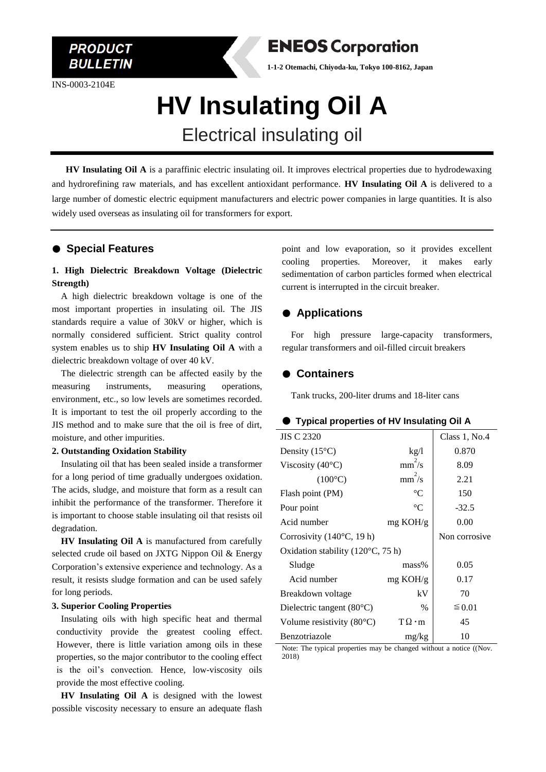INS-0003-2104E

**PRODUCT BULLETIN** 



**1-1-2 Otemachi, Chiyoda-ku, Tokyo 100-8162, Japan**

# **HV Insulating Oil A** Electrical insulating oil

 **HV Insulating Oil A** is a paraffinic electric insulating oil. It improves electrical properties due to hydrodewaxing and hydrorefining raw materials, and has excellent antioxidant performance. **HV Insulating Oil A** is delivered to a large number of domestic electric equipment manufacturers and electric power companies in large quantities. It is also widely used overseas as insulating oil for transformers for export.

## ● **Special Features**

## **1. High Dielectric Breakdown Voltage (Dielectric Strength)**

A high dielectric breakdown voltage is one of the most important properties in insulating oil. The JIS standards require a value of 30kV or higher, which is normally considered sufficient. Strict quality control system enables us to ship **HV Insulating Oil A** with a dielectric breakdown voltage of over 40 kV.

The dielectric strength can be affected easily by the measuring instruments, measuring operations, environment, etc., so low levels are sometimes recorded. It is important to test the oil properly according to the JIS method and to make sure that the oil is free of dirt, moisture, and other impurities.

#### **2. Outstanding Oxidation Stability**

Insulating oil that has been sealed inside a transformer for a long period of time gradually undergoes oxidation. The acids, sludge, and moisture that form as a result can inhibit the performance of the transformer. Therefore it is important to choose stable insulating oil that resists oil degradation.

**HV Insulating Oil A** is manufactured from carefully selected crude oil based on JXTG Nippon Oil & Energy Corporation's extensive experience and technology. As a result, it resists sludge formation and can be used safely for long periods.

#### **3. Superior Cooling Properties**

Insulating oils with high specific heat and thermal conductivity provide the greatest cooling effect. However, there is little variation among oils in these properties, so the major contributor to the cooling effect is the oil's convection. Hence, low-viscosity oils provide the most effective cooling.

**HV Insulating Oil A** is designed with the lowest possible viscosity necessary to ensure an adequate flash

point and low evaporation, so it provides excellent cooling properties. Moreover, it makes early sedimentation of carbon particles formed when electrical current is interrupted in the circuit breaker.

## ● **Applications**

For high pressure large-capacity transformers, regular transformers and oil-filled circuit breakers

#### ● **Containers**

Tank trucks, 200-liter drums and 18-liter cans

#### ● **Typical properties of HV Insulating Oil A**

| JIS C 2320                                 |                    | Class 1, No.4 |
|--------------------------------------------|--------------------|---------------|
| Density $(15^{\circ}C)$                    | kg/l               | 0.870         |
| Viscosity (40 $\rm ^{\circ}C)$             | $mm^2/s$           | 8.09          |
| $(100^{\circ}C)$                           | $mm^2/s$           | 2.21          |
| Flash point (PM)                           | $\rm ^{\circ}C$    | 150           |
| Pour point                                 | $\rm ^{\circ}C$    | $-32.5$       |
| Acid number                                | $mg \text{ KOH/g}$ | 0.00          |
| Corrosivity $(140^{\circ}C, 19 h)$         |                    | Non corrosive |
| Oxidation stability $(120^{\circ}C, 75 h)$ |                    |               |
| Sludge                                     | $mass\%$           | 0.05          |
| Acid number                                | $mg$ KOH/g         | 0.17          |
| Breakdown voltage                          | kV                 | 70            |
| Dielectric tangent $(80^{\circ}C)$         | $\%$               | $\leq 0.01$   |
| Volume resistivity $(80^{\circ}C)$         | $T\Omega \cdot m$  | 45            |
| Benzotriazole                              | mg/kg              | 10            |

Note: The typical properties may be changed without a notice ((Nov. 2018)